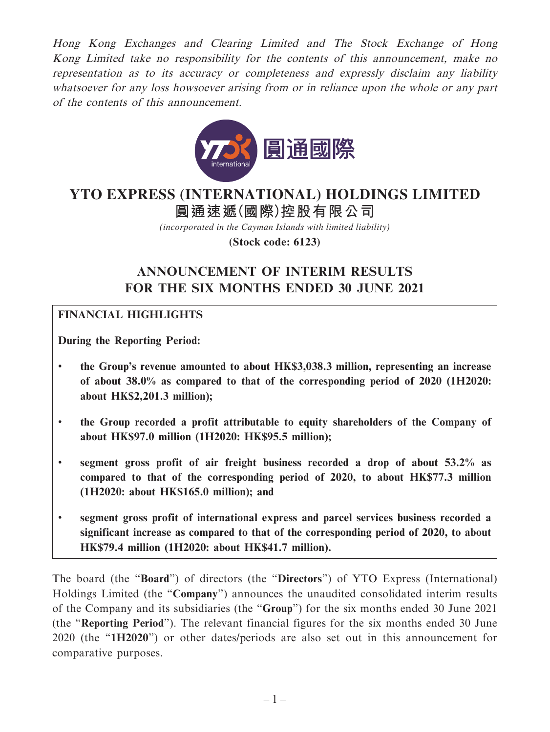Hong Kong Exchanges and Clearing Limited and The Stock Exchange of Hong Kong Limited take no responsibility for the contents of this announcement, make no representation as to its accuracy or completeness and expressly disclaim any liability whatsoever for any loss howsoever arising from or in reliance upon the whole or any part of the contents of this announcement.



# **圓通速遞(國際)控股有限公司 YTO EXPRESS (INTERNATIONAL) HOLDINGS LIMITED**

*(incorporated in the Cayman Islands with limited liability)*

**(Stock code: 6123)**

# **ANNOUNCEMENT OF INTERIM RESULTS FOR THE SIX MONTHS ENDED 30 JUNE 2021**

## **FINANCIAL HIGHLIGHTS**

**During the Reporting Period:**

- **the Group's revenue amounted to about HK\$3,038.3 million, representing an increase of about 38.0% as compared to that of the corresponding period of 2020 (1H2020: about HK\$2,201.3 million);**
- **the Group recorded a profit attributable to equity shareholders of the Company of about HK\$97.0 million (1H2020: HK\$95.5 million);**
- **segment gross profit of air freight business recorded a drop of about 53.2% as compared to that of the corresponding period of 2020, to about HK\$77.3 million (1H2020: about HK\$165.0 million); and**
- **segment gross profit of international express and parcel services business recorded a significant increase as compared to that of the corresponding period of 2020, to about HK\$79.4 million (1H2020: about HK\$41.7 million).**

The board (the "**Board**") of directors (the "**Directors**") of YTO Express (International) Holdings Limited (the "**Company**") announces the unaudited consolidated interim results of the Company and its subsidiaries (the "**Group**") for the six months ended 30 June 2021 (the "**Reporting Period**"). The relevant financial figures for the six months ended 30 June 2020 (the "**1H2020**") or other dates/periods are also set out in this announcement for comparative purposes.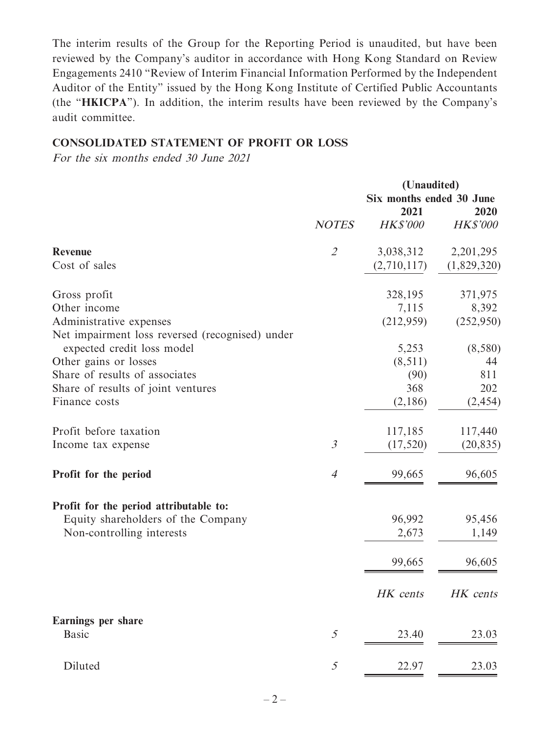The interim results of the Group for the Reporting Period is unaudited, but have been reviewed by the Company's auditor in accordance with Hong Kong Standard on Review Engagements 2410 "Review of Interim Financial Information Performed by the Independent Auditor of the Entity" issued by the Hong Kong Institute of Certified Public Accountants (the "**HKICPA**"). In addition, the interim results have been reviewed by the Company's audit committee.

## **CONSOLIDATED STATEMENT OF PROFIT OR LOSS**

For the six months ended 30 June 2021

|                                                 | (Unaudited)<br>Six months ended 30 June<br>2021 |                 | 2020            |
|-------------------------------------------------|-------------------------------------------------|-----------------|-----------------|
|                                                 | <b>NOTES</b>                                    | <b>HK\$'000</b> | <b>HK\$'000</b> |
| <b>Revenue</b>                                  | $\mathcal{L}$                                   | 3,038,312       | 2,201,295       |
| Cost of sales                                   |                                                 | (2,710,117)     | (1,829,320)     |
| Gross profit                                    |                                                 | 328,195         | 371,975         |
| Other income                                    |                                                 | 7,115           | 8,392           |
| Administrative expenses                         |                                                 | (212,959)       | (252,950)       |
| Net impairment loss reversed (recognised) under |                                                 |                 |                 |
| expected credit loss model                      |                                                 | 5,253           | (8,580)         |
| Other gains or losses                           |                                                 | (8, 511)        | 44              |
| Share of results of associates                  |                                                 | (90)            | 811             |
| Share of results of joint ventures              |                                                 | 368             | 202             |
| Finance costs                                   |                                                 | (2,186)         | (2, 454)        |
| Profit before taxation                          |                                                 | 117,185         | 117,440         |
| Income tax expense                              | $\mathfrak{Z}$                                  | (17, 520)       | (20, 835)       |
| Profit for the period                           | $\overline{4}$                                  | 99,665          | 96,605          |
| Profit for the period attributable to:          |                                                 |                 |                 |
| Equity shareholders of the Company              |                                                 | 96,992          | 95,456          |
| Non-controlling interests                       |                                                 | 2,673           | 1,149           |
|                                                 |                                                 | 99,665          | 96,605          |
|                                                 |                                                 | HK cents        | HK cents        |
| Earnings per share                              |                                                 |                 |                 |
| <b>Basic</b>                                    | 5                                               | 23.40           | 23.03           |
| Diluted                                         | 5                                               | 22.97           | 23.03           |
|                                                 |                                                 |                 |                 |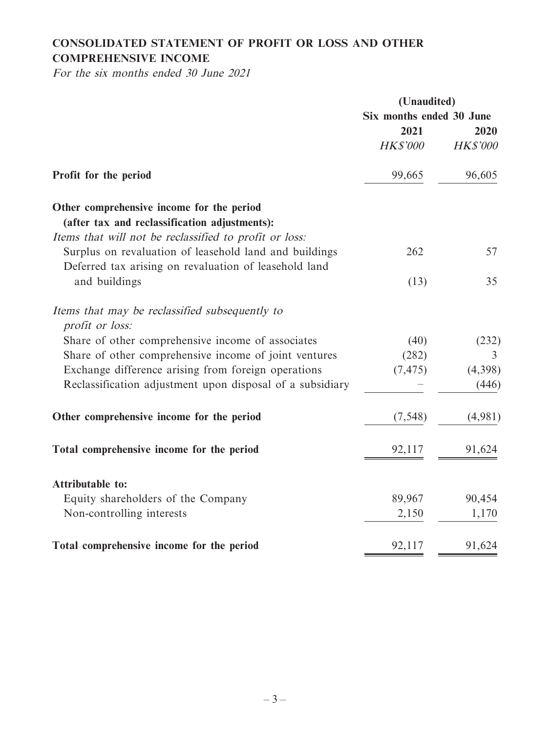## **CONSOLIDATED STATEMENT OF PROFIT OR LOSS AND OTHER COMPREHENSIVE INCOME**

For the six months ended 30 June 2021

|                                                                                                                 | (Unaudited)              |                 |
|-----------------------------------------------------------------------------------------------------------------|--------------------------|-----------------|
|                                                                                                                 | Six months ended 30 June |                 |
|                                                                                                                 | 2021                     | 2020            |
|                                                                                                                 | <b>HK\$'000</b>          | <b>HK\$'000</b> |
| Profit for the period                                                                                           | 99,665                   | 96,605          |
| Other comprehensive income for the period                                                                       |                          |                 |
| (after tax and reclassification adjustments):                                                                   |                          |                 |
| Items that will not be reclassified to profit or loss:                                                          |                          |                 |
| Surplus on revaluation of leasehold land and buildings<br>Deferred tax arising on revaluation of leasehold land | 262                      | 57              |
| and buildings                                                                                                   | (13)                     | 35              |
| Items that may be reclassified subsequently to<br>profit or loss:                                               |                          |                 |
| Share of other comprehensive income of associates                                                               | (40)                     | (232)           |
| Share of other comprehensive income of joint ventures                                                           | (282)                    | 3               |
| Exchange difference arising from foreign operations                                                             | (7, 475)                 | (4,398)         |
| Reclassification adjustment upon disposal of a subsidiary                                                       |                          | (446)           |
| Other comprehensive income for the period                                                                       | (7, 548)                 | (4,981)         |
| Total comprehensive income for the period                                                                       | 92,117                   | 91,624          |
| <b>Attributable to:</b>                                                                                         |                          |                 |
| Equity shareholders of the Company                                                                              | 89,967                   | 90,454          |
| Non-controlling interests                                                                                       | 2,150                    | 1,170           |
| Total comprehensive income for the period                                                                       | 92,117                   | 91,624          |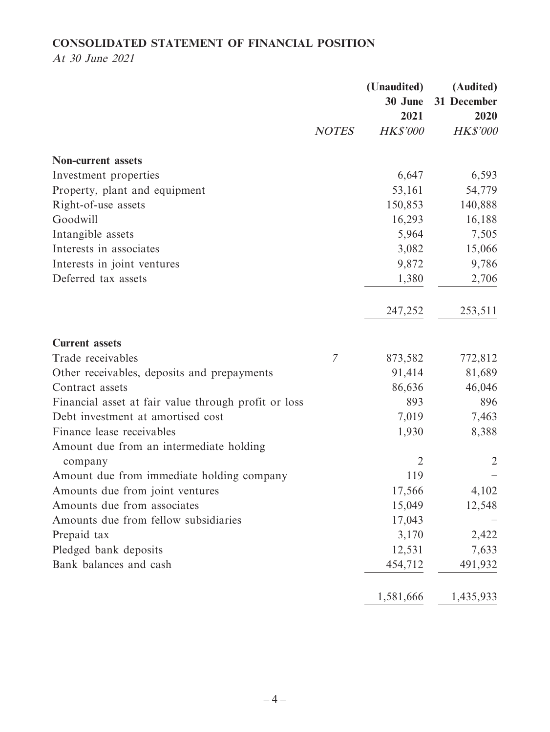## **CONSOLIDATED STATEMENT OF FINANCIAL POSITION**

At 30 June 2021

|                                                      |               | (Unaudited)<br>30 June | (Audited)<br>31 December |
|------------------------------------------------------|---------------|------------------------|--------------------------|
|                                                      |               | 2021                   | 2020                     |
|                                                      | <b>NOTES</b>  | <b>HK\$'000</b>        | <b>HK\$'000</b>          |
| <b>Non-current assets</b>                            |               |                        |                          |
| Investment properties                                |               | 6,647                  | 6,593                    |
| Property, plant and equipment                        |               | 53,161                 | 54,779                   |
| Right-of-use assets                                  |               | 150,853                | 140,888                  |
| Goodwill                                             |               | 16,293                 | 16,188                   |
| Intangible assets                                    |               | 5,964                  | 7,505                    |
| Interests in associates                              |               | 3,082                  | 15,066                   |
| Interests in joint ventures                          |               | 9,872                  | 9,786                    |
| Deferred tax assets                                  |               | 1,380                  | 2,706                    |
|                                                      |               | 247,252                | 253,511                  |
| <b>Current assets</b>                                |               |                        |                          |
| Trade receivables                                    | $\mathcal{I}$ | 873,582                | 772,812                  |
| Other receivables, deposits and prepayments          |               | 91,414                 | 81,689                   |
| Contract assets                                      |               | 86,636                 | 46,046                   |
| Financial asset at fair value through profit or loss |               | 893                    | 896                      |
| Debt investment at amortised cost                    |               | 7,019                  | 7,463                    |
| Finance lease receivables                            |               | 1,930                  | 8,388                    |
| Amount due from an intermediate holding              |               |                        |                          |
| company                                              |               | $\overline{2}$         | $\overline{2}$           |
| Amount due from immediate holding company            |               | 119                    |                          |
| Amounts due from joint ventures                      |               | 17,566                 | 4,102                    |
| Amounts due from associates                          |               | 15,049                 | 12,548                   |
| Amounts due from fellow subsidiaries                 |               | 17,043                 |                          |
| Prepaid tax                                          |               | 3,170                  | 2,422                    |
| Pledged bank deposits                                |               | 12,531                 | 7,633                    |
| Bank balances and cash                               |               | 454,712                | 491,932                  |
|                                                      |               | 1,581,666              | 1,435,933                |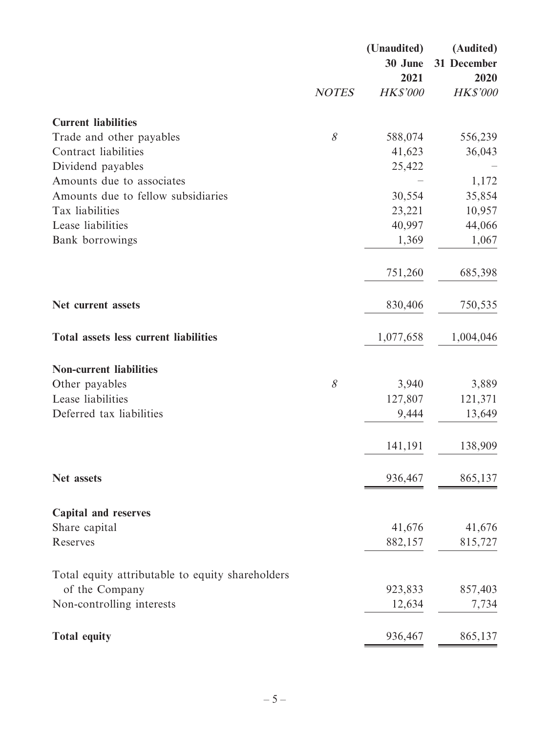|                                                  |              | (Unaudited)<br>30 June  | (Audited)<br>31 December |
|--------------------------------------------------|--------------|-------------------------|--------------------------|
|                                                  | <b>NOTES</b> | 2021<br><b>HK\$'000</b> | 2020<br><b>HK\$'000</b>  |
| <b>Current liabilities</b>                       |              |                         |                          |
| Trade and other payables                         | $\mathcal S$ | 588,074                 | 556,239                  |
| Contract liabilities                             |              | 41,623                  | 36,043                   |
| Dividend payables                                |              | 25,422                  |                          |
| Amounts due to associates                        |              |                         | 1,172                    |
| Amounts due to fellow subsidiaries               |              | 30,554                  | 35,854                   |
| Tax liabilities                                  |              | 23,221                  | 10,957                   |
| Lease liabilities                                |              | 40,997                  | 44,066                   |
| Bank borrowings                                  |              | 1,369                   | 1,067                    |
|                                                  |              | 751,260                 | 685,398                  |
| Net current assets                               |              | 830,406                 | 750,535                  |
|                                                  |              |                         |                          |
| <b>Total assets less current liabilities</b>     |              | 1,077,658               | 1,004,046                |
| <b>Non-current liabilities</b>                   |              |                         |                          |
| Other payables                                   | 8            | 3,940                   | 3,889                    |
| Lease liabilities                                |              | 127,807                 | 121,371                  |
| Deferred tax liabilities                         |              | 9,444                   | 13,649                   |
|                                                  |              | 141,191                 | 138,909                  |
| Net assets                                       |              | 936,467                 | 865,137                  |
|                                                  |              |                         |                          |
| <b>Capital and reserves</b>                      |              | 41,676                  | 41,676                   |
| Share capital<br>Reserves                        |              | 882,157                 | 815,727                  |
|                                                  |              |                         |                          |
| Total equity attributable to equity shareholders |              |                         |                          |
| of the Company                                   |              | 923,833                 | 857,403                  |
| Non-controlling interests                        |              | 12,634                  | 7,734                    |
| <b>Total equity</b>                              |              | 936,467                 | 865,137                  |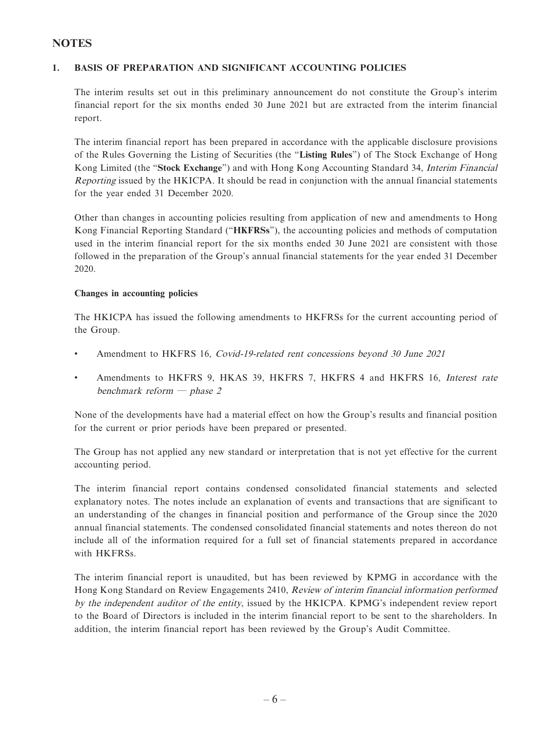#### **NOTES**

#### **1. BASIS OF PREPARATION AND SIGNIFICANT ACCOUNTING POLICIES**

The interim results set out in this preliminary announcement do not constitute the Group's interim financial report for the six months ended 30 June 2021 but are extracted from the interim financial report.

The interim financial report has been prepared in accordance with the applicable disclosure provisions of the Rules Governing the Listing of Securities (the "**Listing Rules**") of The Stock Exchange of Hong Kong Limited (the "**Stock Exchange**") and with Hong Kong Accounting Standard 34, Interim Financial Reporting issued by the HKICPA. It should be read in conjunction with the annual financial statements for the year ended 31 December 2020.

Other than changes in accounting policies resulting from application of new and amendments to Hong Kong Financial Reporting Standard ("**HKFRSs**"), the accounting policies and methods of computation used in the interim financial report for the six months ended 30 June 2021 are consistent with those followed in the preparation of the Group's annual financial statements for the year ended 31 December 2020.

#### **Changes in accounting policies**

The HKICPA has issued the following amendments to HKFRSs for the current accounting period of the Group.

- Amendment to HKFRS 16, Covid-19-related rent concessions beyond 30 June 2021
- Amendments to HKFRS 9, HKAS 39, HKFRS 7, HKFRS 4 and HKFRS 16, Interest rate benchmark reform — phase 2

None of the developments have had a material effect on how the Group's results and financial position for the current or prior periods have been prepared or presented.

The Group has not applied any new standard or interpretation that is not yet effective for the current accounting period.

The interim financial report contains condensed consolidated financial statements and selected explanatory notes. The notes include an explanation of events and transactions that are significant to an understanding of the changes in financial position and performance of the Group since the 2020 annual financial statements. The condensed consolidated financial statements and notes thereon do not include all of the information required for a full set of financial statements prepared in accordance with HKFRSs.

The interim financial report is unaudited, but has been reviewed by KPMG in accordance with the Hong Kong Standard on Review Engagements 2410, Review of interim financial information performed by the independent auditor of the entity, issued by the HKICPA. KPMG's independent review report to the Board of Directors is included in the interim financial report to be sent to the shareholders. In addition, the interim financial report has been reviewed by the Group's Audit Committee.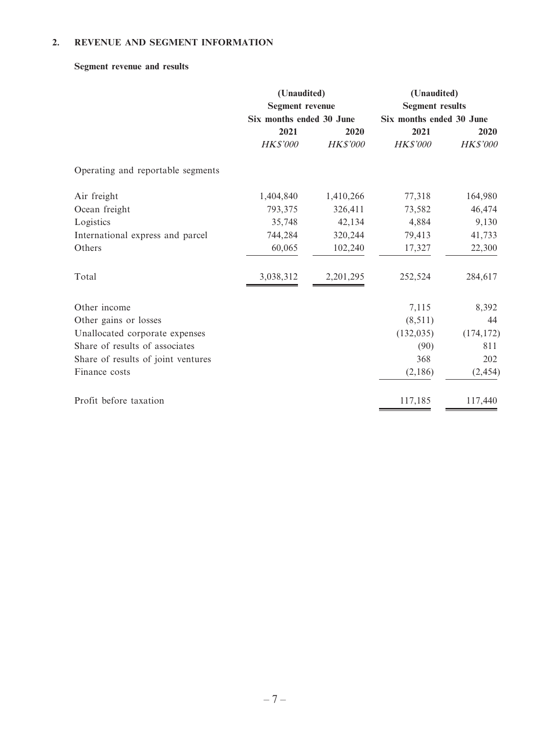#### **2. REVENUE AND SEGMENT INFORMATION**

#### **Segment revenue and results**

|                                    | (Unaudited)<br><b>Segment revenue</b><br>Six months ended 30 June |           | (Unaudited)<br><b>Segment results</b><br>Six months ended 30 June |            |
|------------------------------------|-------------------------------------------------------------------|-----------|-------------------------------------------------------------------|------------|
|                                    |                                                                   |           |                                                                   |            |
|                                    | 2021                                                              | 2020      | 2021                                                              | 2020       |
|                                    | HK\$'000                                                          | HK\$'000  | HK\$'000                                                          | HK\$'000   |
| Operating and reportable segments  |                                                                   |           |                                                                   |            |
| Air freight                        | 1,404,840                                                         | 1,410,266 | 77,318                                                            | 164,980    |
| Ocean freight                      | 793,375                                                           | 326,411   | 73,582                                                            | 46,474     |
| Logistics                          | 35,748                                                            | 42,134    | 4,884                                                             | 9,130      |
| International express and parcel   | 744,284                                                           | 320,244   | 79,413                                                            | 41,733     |
| Others                             | 60,065                                                            | 102,240   | 17,327                                                            | 22,300     |
| Total                              | 3,038,312                                                         | 2,201,295 | 252,524                                                           | 284,617    |
| Other income                       |                                                                   |           | 7,115                                                             | 8,392      |
| Other gains or losses              |                                                                   |           | (8, 511)                                                          | 44         |
| Unallocated corporate expenses     |                                                                   |           | (132, 035)                                                        | (174, 172) |
| Share of results of associates     |                                                                   |           | (90)                                                              | 811        |
| Share of results of joint ventures |                                                                   |           | 368                                                               | 202        |
| Finance costs                      |                                                                   |           | (2,186)                                                           | (2, 454)   |
| Profit before taxation             |                                                                   |           | 117,185                                                           | 117,440    |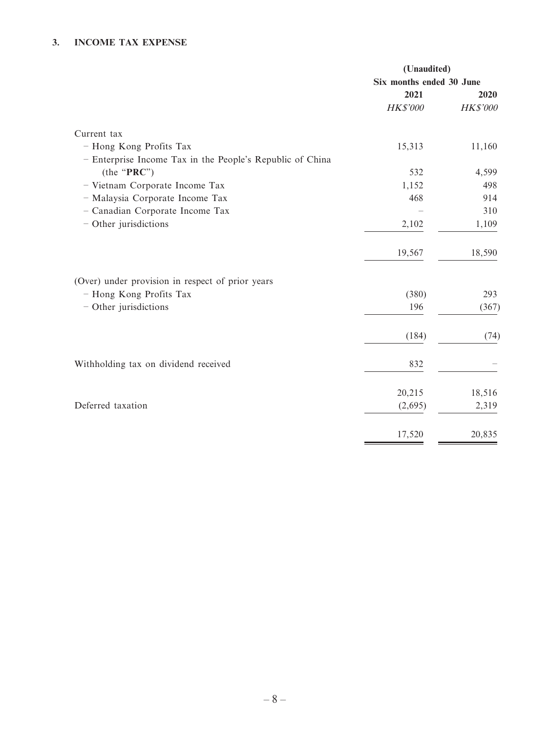#### **3. INCOME TAX EXPENSE**

|                                                           | (Unaudited)              |                 |
|-----------------------------------------------------------|--------------------------|-----------------|
|                                                           | Six months ended 30 June |                 |
|                                                           | 2021                     | 2020            |
|                                                           | HK\$'000                 | <b>HK\$'000</b> |
| Current tax                                               |                          |                 |
| - Hong Kong Profits Tax                                   | 15,313                   | 11,160          |
| - Enterprise Income Tax in the People's Republic of China |                          |                 |
| (the "PRC")                                               | 532                      | 4,599           |
| - Vietnam Corporate Income Tax                            | 1,152                    | 498             |
| - Malaysia Corporate Income Tax                           | 468                      | 914             |
| - Canadian Corporate Income Tax                           |                          | 310             |
| - Other jurisdictions                                     | 2,102                    | 1,109           |
|                                                           | 19,567                   | 18,590          |
| (Over) under provision in respect of prior years          |                          |                 |
| - Hong Kong Profits Tax                                   | (380)                    | 293             |
| - Other jurisdictions                                     | 196                      | (367)           |
|                                                           | (184)                    | (74)            |
| Withholding tax on dividend received                      | 832                      |                 |
|                                                           | 20,215                   | 18,516          |
| Deferred taxation                                         | (2,695)                  | 2,319           |
|                                                           | 17,520                   | 20,835          |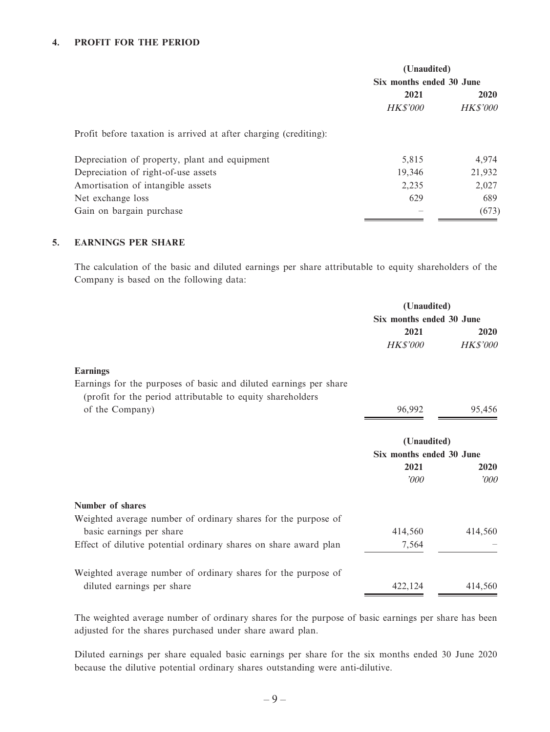#### **4. PROFIT FOR THE PERIOD**

|                                                                  | (Unaudited)<br>Six months ended 30 June |                 |
|------------------------------------------------------------------|-----------------------------------------|-----------------|
|                                                                  |                                         |                 |
|                                                                  | 2021                                    | 2020            |
|                                                                  | <b>HK\$'000</b>                         | <b>HK\$'000</b> |
| Profit before taxation is arrived at after charging (crediting): |                                         |                 |
| Depreciation of property, plant and equipment                    | 5,815                                   | 4,974           |
| Depreciation of right-of-use assets                              | 19,346                                  | 21,932          |
| Amortisation of intangible assets                                | 2,235                                   | 2,027           |
| Net exchange loss                                                | 629                                     | 689             |
| Gain on bargain purchase                                         |                                         | (673)           |

#### **5. EARNINGS PER SHARE**

The calculation of the basic and diluted earnings per share attributable to equity shareholders of the Company is based on the following data:

|                                                                                                                                  | (Unaudited)              |                 |
|----------------------------------------------------------------------------------------------------------------------------------|--------------------------|-----------------|
|                                                                                                                                  | Six months ended 30 June |                 |
|                                                                                                                                  | 2021                     | 2020            |
|                                                                                                                                  | <b>HK\$'000</b>          | <b>HK\$'000</b> |
| <b>Earnings</b>                                                                                                                  |                          |                 |
| Earnings for the purposes of basic and diluted earnings per share<br>(profit for the period attributable to equity shareholders) |                          |                 |
| of the Company)                                                                                                                  | 96,992                   | 95,456          |
|                                                                                                                                  | (Unaudited)              |                 |
|                                                                                                                                  | Six months ended 30 June |                 |
|                                                                                                                                  | 2021                     | 2020            |
|                                                                                                                                  | 000'                     | 2000            |
| Number of shares                                                                                                                 |                          |                 |
| Weighted average number of ordinary shares for the purpose of                                                                    |                          |                 |
| basic earnings per share                                                                                                         | 414,560                  | 414,560         |
| Effect of dilutive potential ordinary shares on share award plan                                                                 | 7,564                    |                 |
| Weighted average number of ordinary shares for the purpose of                                                                    |                          |                 |
| diluted earnings per share                                                                                                       | 422,124                  | 414,560         |

The weighted average number of ordinary shares for the purpose of basic earnings per share has been adjusted for the shares purchased under share award plan.

Diluted earnings per share equaled basic earnings per share for the six months ended 30 June 2020 because the dilutive potential ordinary shares outstanding were anti-dilutive.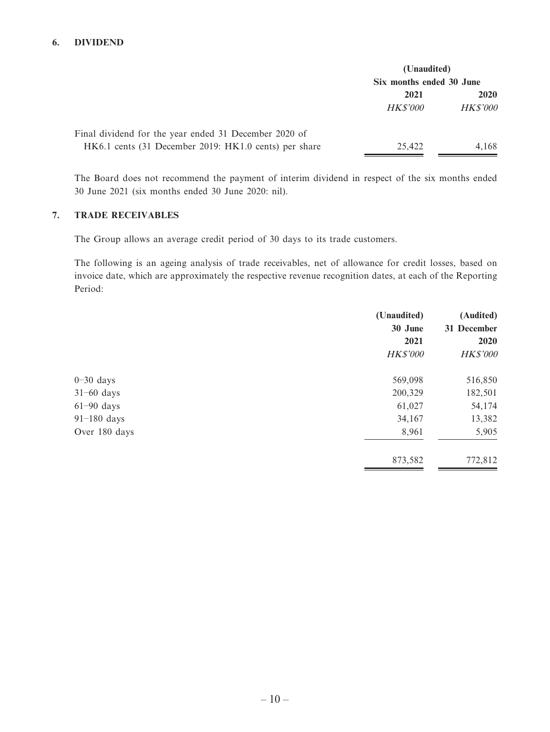#### **6. DIVIDEND**

|                                                       | (Unaudited)              |                 |
|-------------------------------------------------------|--------------------------|-----------------|
|                                                       | Six months ended 30 June |                 |
|                                                       | 2021                     | 2020            |
|                                                       | <i>HK\$'000</i>          | <i>HK\$'000</i> |
| Final dividend for the year ended 31 December 2020 of |                          |                 |
| HK6.1 cents (31 December 2019: HK1.0 cents) per share | 25.422                   | 4,168           |

The Board does not recommend the payment of interim dividend in respect of the six months ended 30 June 2021 (six months ended 30 June 2020: nil).

#### **7. TRADE RECEIVABLES**

The Group allows an average credit period of 30 days to its trade customers.

The following is an ageing analysis of trade receivables, net of allowance for credit losses, based on invoice date, which are approximately the respective revenue recognition dates, at each of the Reporting Period:

|               | (Unaudited)     | (Audited)       |
|---------------|-----------------|-----------------|
|               | 30 June         | 31 December     |
|               | 2021            | 2020            |
|               | <b>HK\$'000</b> | <b>HK\$'000</b> |
| $0-30$ days   | 569,098         | 516,850         |
| $31-60$ days  | 200,329         | 182,501         |
| $61-90$ days  | 61,027          | 54,174          |
| $91-180$ days | 34,167          | 13,382          |
| Over 180 days | 8,961           | 5,905           |
|               | 873,582         | 772,812         |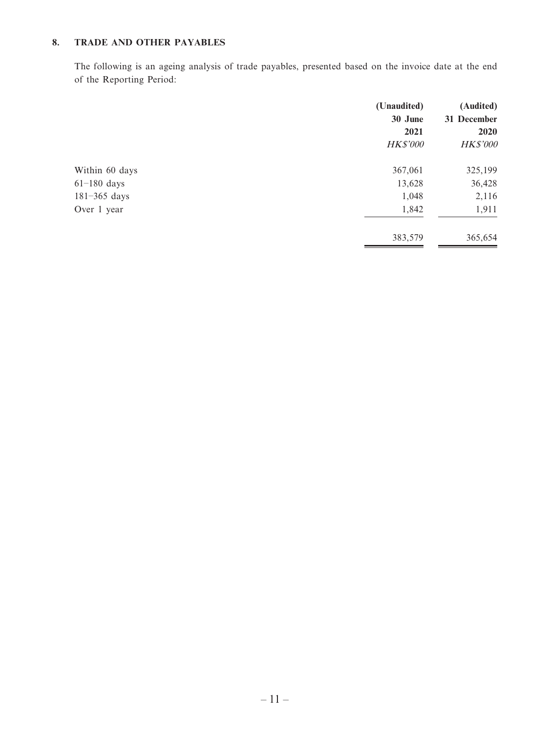#### **8. TRADE AND OTHER PAYABLES**

The following is an ageing analysis of trade payables, presented based on the invoice date at the end of the Reporting Period:

|                  | (Unaudited)     | (Audited)   |
|------------------|-----------------|-------------|
|                  | 30 June         | 31 December |
|                  | 2021            | 2020        |
|                  | <b>HK\$'000</b> | HK\$'000    |
| Within 60 days   | 367,061         | 325,199     |
| $61-180$ days    | 13,628          | 36,428      |
| $181 - 365$ days | 1,048           | 2,116       |
| Over 1 year      | 1,842           | 1,911       |
|                  | 383,579         | 365,654     |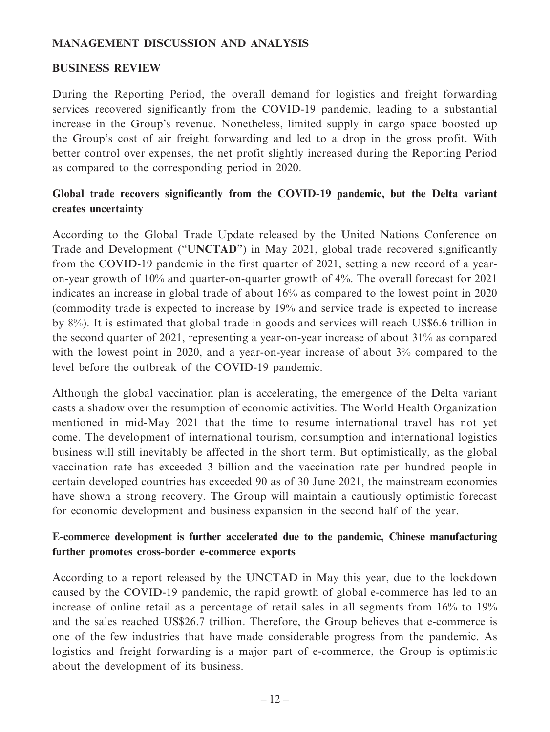#### **MANAGEMENT DISCUSSION AND ANALYSIS**

#### **BUSINESS REVIEW**

During the Reporting Period, the overall demand for logistics and freight forwarding services recovered significantly from the COVID-19 pandemic, leading to a substantial increase in the Group's revenue. Nonetheless, limited supply in cargo space boosted up the Group's cost of air freight forwarding and led to a drop in the gross profit. With better control over expenses, the net profit slightly increased during the Reporting Period as compared to the corresponding period in 2020.

## **Global trade recovers significantly from the COVID-19 pandemic, but the Delta variant creates uncertainty**

According to the Global Trade Update released by the United Nations Conference on Trade and Development ("**UNCTAD**") in May 2021, global trade recovered significantly from the COVID-19 pandemic in the first quarter of 2021, setting a new record of a yearon-year growth of 10% and quarter-on-quarter growth of 4%. The overall forecast for 2021 indicates an increase in global trade of about 16% as compared to the lowest point in 2020 (commodity trade is expected to increase by 19% and service trade is expected to increase by 8%). It is estimated that global trade in goods and services will reach US\$6.6 trillion in the second quarter of 2021, representing a year-on-year increase of about 31% as compared with the lowest point in 2020, and a year-on-year increase of about 3% compared to the level before the outbreak of the COVID-19 pandemic.

Although the global vaccination plan is accelerating, the emergence of the Delta variant casts a shadow over the resumption of economic activities. The World Health Organization mentioned in mid-May 2021 that the time to resume international travel has not yet come. The development of international tourism, consumption and international logistics business will still inevitably be affected in the short term. But optimistically, as the global vaccination rate has exceeded 3 billion and the vaccination rate per hundred people in certain developed countries has exceeded 90 as of 30 June 2021, the mainstream economies have shown a strong recovery. The Group will maintain a cautiously optimistic forecast for economic development and business expansion in the second half of the year.

## **E-commerce development is further accelerated due to the pandemic, Chinese manufacturing further promotes cross-border e-commerce exports**

According to a report released by the UNCTAD in May this year, due to the lockdown caused by the COVID-19 pandemic, the rapid growth of global e-commerce has led to an increase of online retail as a percentage of retail sales in all segments from 16% to 19% and the sales reached US\$26.7 trillion. Therefore, the Group believes that e-commerce is one of the few industries that have made considerable progress from the pandemic. As logistics and freight forwarding is a major part of e-commerce, the Group is optimistic about the development of its business.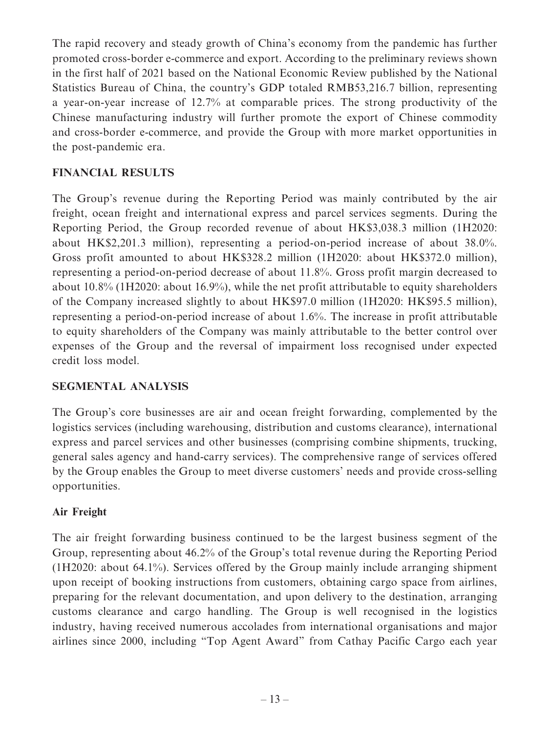The rapid recovery and steady growth of China's economy from the pandemic has further promoted cross-border e-commerce and export. According to the preliminary reviews shown in the first half of 2021 based on the National Economic Review published by the National Statistics Bureau of China, the country's GDP totaled RMB53,216.7 billion, representing a year-on-year increase of 12.7% at comparable prices. The strong productivity of the Chinese manufacturing industry will further promote the export of Chinese commodity and cross-border e-commerce, and provide the Group with more market opportunities in the post-pandemic era.

## **FINANCIAL RESULTS**

The Group's revenue during the Reporting Period was mainly contributed by the air freight, ocean freight and international express and parcel services segments. During the Reporting Period, the Group recorded revenue of about HK\$3,038.3 million (1H2020: about HK\$2,201.3 million), representing a period-on-period increase of about 38.0%. Gross profit amounted to about HK\$328.2 million (1H2020: about HK\$372.0 million), representing a period-on-period decrease of about 11.8%. Gross profit margin decreased to about 10.8% (1H2020: about 16.9%), while the net profit attributable to equity shareholders of the Company increased slightly to about HK\$97.0 million (1H2020: HK\$95.5 million), representing a period-on-period increase of about 1.6%. The increase in profit attributable to equity shareholders of the Company was mainly attributable to the better control over expenses of the Group and the reversal of impairment loss recognised under expected credit loss model.

## **SEGMENTAL ANALYSIS**

The Group's core businesses are air and ocean freight forwarding, complemented by the logistics services (including warehousing, distribution and customs clearance), international express and parcel services and other businesses (comprising combine shipments, trucking, general sales agency and hand-carry services). The comprehensive range of services offered by the Group enables the Group to meet diverse customers' needs and provide cross-selling opportunities.

## **Air Freight**

The air freight forwarding business continued to be the largest business segment of the Group, representing about 46.2% of the Group's total revenue during the Reporting Period (1H2020: about 64.1%). Services offered by the Group mainly include arranging shipment upon receipt of booking instructions from customers, obtaining cargo space from airlines, preparing for the relevant documentation, and upon delivery to the destination, arranging customs clearance and cargo handling. The Group is well recognised in the logistics industry, having received numerous accolades from international organisations and major airlines since 2000, including "Top Agent Award" from Cathay Pacific Cargo each year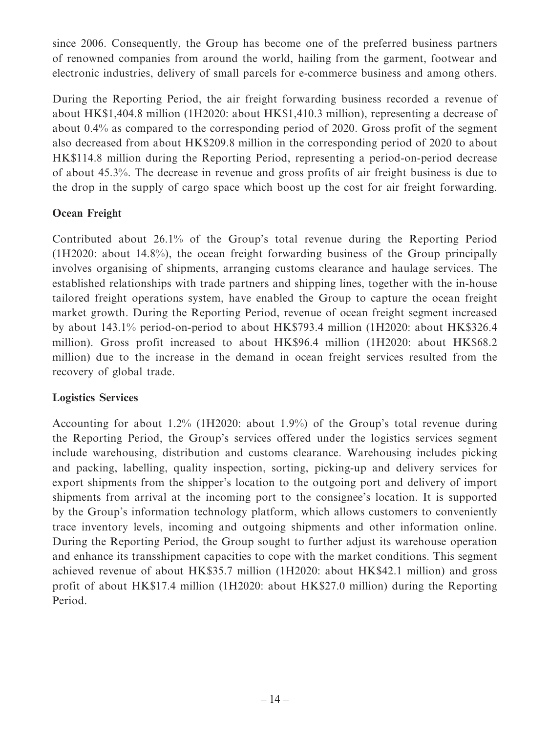since 2006. Consequently, the Group has become one of the preferred business partners of renowned companies from around the world, hailing from the garment, footwear and electronic industries, delivery of small parcels for e-commerce business and among others.

During the Reporting Period, the air freight forwarding business recorded a revenue of about HK\$1,404.8 million (1H2020: about HK\$1,410.3 million), representing a decrease of about 0.4% as compared to the corresponding period of 2020. Gross profit of the segment also decreased from about HK\$209.8 million in the corresponding period of 2020 to about HK\$114.8 million during the Reporting Period, representing a period-on-period decrease of about 45.3%. The decrease in revenue and gross profits of air freight business is due to the drop in the supply of cargo space which boost up the cost for air freight forwarding.

## **Ocean Freight**

Contributed about 26.1% of the Group's total revenue during the Reporting Period (1H2020: about 14.8%), the ocean freight forwarding business of the Group principally involves organising of shipments, arranging customs clearance and haulage services. The established relationships with trade partners and shipping lines, together with the in-house tailored freight operations system, have enabled the Group to capture the ocean freight market growth. During the Reporting Period, revenue of ocean freight segment increased by about 143.1% period-on-period to about HK\$793.4 million (1H2020: about HK\$326.4 million). Gross profit increased to about HK\$96.4 million (1H2020: about HK\$68.2 million) due to the increase in the demand in ocean freight services resulted from the recovery of global trade.

## **Logistics Services**

Accounting for about 1.2% (1H2020: about 1.9%) of the Group's total revenue during the Reporting Period, the Group's services offered under the logistics services segment include warehousing, distribution and customs clearance. Warehousing includes picking and packing, labelling, quality inspection, sorting, picking-up and delivery services for export shipments from the shipper's location to the outgoing port and delivery of import shipments from arrival at the incoming port to the consignee's location. It is supported by the Group's information technology platform, which allows customers to conveniently trace inventory levels, incoming and outgoing shipments and other information online. During the Reporting Period, the Group sought to further adjust its warehouse operation and enhance its transshipment capacities to cope with the market conditions. This segment achieved revenue of about HK\$35.7 million (1H2020: about HK\$42.1 million) and gross profit of about HK\$17.4 million (1H2020: about HK\$27.0 million) during the Reporting Period.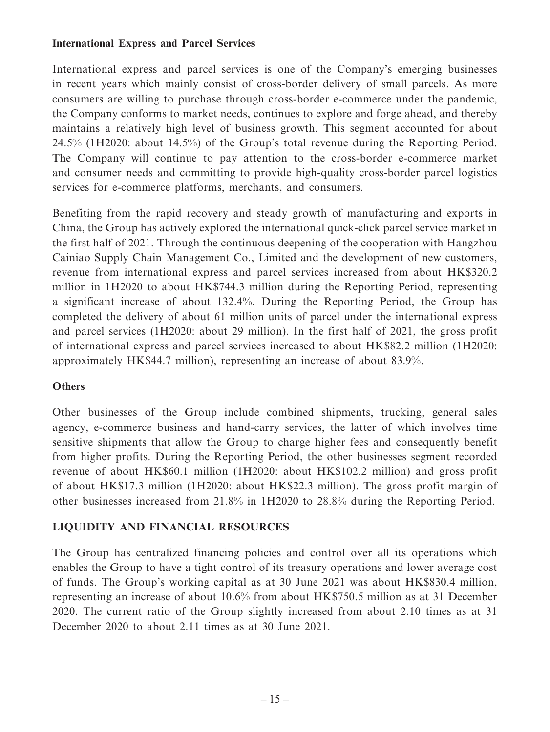### **International Express and Parcel Services**

International express and parcel services is one of the Company's emerging businesses in recent years which mainly consist of cross-border delivery of small parcels. As more consumers are willing to purchase through cross-border e-commerce under the pandemic, the Company conforms to market needs, continues to explore and forge ahead, and thereby maintains a relatively high level of business growth. This segment accounted for about 24.5% (1H2020: about 14.5%) of the Group's total revenue during the Reporting Period. The Company will continue to pay attention to the cross-border e-commerce market and consumer needs and committing to provide high-quality cross-border parcel logistics services for e-commerce platforms, merchants, and consumers.

Benefiting from the rapid recovery and steady growth of manufacturing and exports in China, the Group has actively explored the international quick-click parcel service market in the first half of 2021. Through the continuous deepening of the cooperation with Hangzhou Cainiao Supply Chain Management Co., Limited and the development of new customers, revenue from international express and parcel services increased from about HK\$320.2 million in 1H2020 to about HK\$744.3 million during the Reporting Period, representing a significant increase of about 132.4%. During the Reporting Period, the Group has completed the delivery of about 61 million units of parcel under the international express and parcel services (1H2020: about 29 million). In the first half of 2021, the gross profit of international express and parcel services increased to about HK\$82.2 million (1H2020: approximately HK\$44.7 million), representing an increase of about 83.9%.

## **Others**

Other businesses of the Group include combined shipments, trucking, general sales agency, e-commerce business and hand-carry services, the latter of which involves time sensitive shipments that allow the Group to charge higher fees and consequently benefit from higher profits. During the Reporting Period, the other businesses segment recorded revenue of about HK\$60.1 million (1H2020: about HK\$102.2 million) and gross profit of about HK\$17.3 million (1H2020: about HK\$22.3 million). The gross profit margin of other businesses increased from 21.8% in 1H2020 to 28.8% during the Reporting Period.

## **LIQUIDITY AND FINANCIAL RESOURCES**

The Group has centralized financing policies and control over all its operations which enables the Group to have a tight control of its treasury operations and lower average cost of funds. The Group's working capital as at 30 June 2021 was about HK\$830.4 million, representing an increase of about 10.6% from about HK\$750.5 million as at 31 December 2020. The current ratio of the Group slightly increased from about 2.10 times as at 31 December 2020 to about 2.11 times as at 30 June 2021.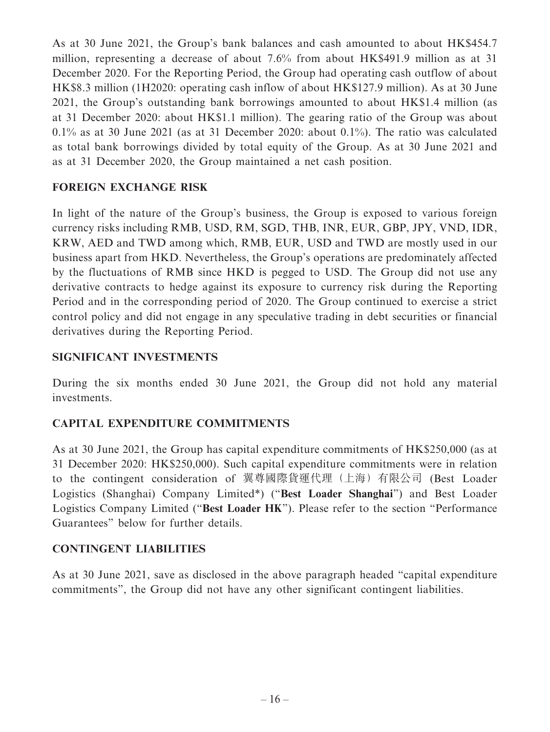As at 30 June 2021, the Group's bank balances and cash amounted to about HK\$454.7 million, representing a decrease of about 7.6% from about HK\$491.9 million as at 31 December 2020. For the Reporting Period, the Group had operating cash outflow of about HK\$8.3 million (1H2020: operating cash inflow of about HK\$127.9 million). As at 30 June 2021, the Group's outstanding bank borrowings amounted to about HK\$1.4 million (as at 31 December 2020: about HK\$1.1 million). The gearing ratio of the Group was about 0.1% as at 30 June 2021 (as at 31 December 2020: about 0.1%). The ratio was calculated as total bank borrowings divided by total equity of the Group. As at 30 June 2021 and as at 31 December 2020, the Group maintained a net cash position.

## **FOREIGN EXCHANGE RISK**

In light of the nature of the Group's business, the Group is exposed to various foreign currency risks including RMB, USD, RM, SGD, THB, INR, EUR, GBP, JPY, VND, IDR, KRW, AED and TWD among which, RMB, EUR, USD and TWD are mostly used in our business apart from HKD. Nevertheless, the Group's operations are predominately affected by the fluctuations of RMB since HKD is pegged to USD. The Group did not use any derivative contracts to hedge against its exposure to currency risk during the Reporting Period and in the corresponding period of 2020. The Group continued to exercise a strict control policy and did not engage in any speculative trading in debt securities or financial derivatives during the Reporting Period.

#### **SIGNIFICANT INVESTMENTS**

During the six months ended 30 June 2021, the Group did not hold any material investments.

## **CAPITAL EXPENDITURE COMMITMENTS**

As at 30 June 2021, the Group has capital expenditure commitments of HK\$250,000 (as at 31 December 2020: HK\$250,000). Such capital expenditure commitments were in relation to the contingent consideration of 翼尊國際貨運代理(上海)有限公司 (Best Loader Logistics (Shanghai) Company Limited\*) ("**Best Loader Shanghai**") and Best Loader Logistics Company Limited ("**Best Loader HK**"). Please refer to the section "Performance Guarantees" below for further details.

#### **CONTINGENT LIABILITIES**

As at 30 June 2021, save as disclosed in the above paragraph headed "capital expenditure commitments", the Group did not have any other significant contingent liabilities.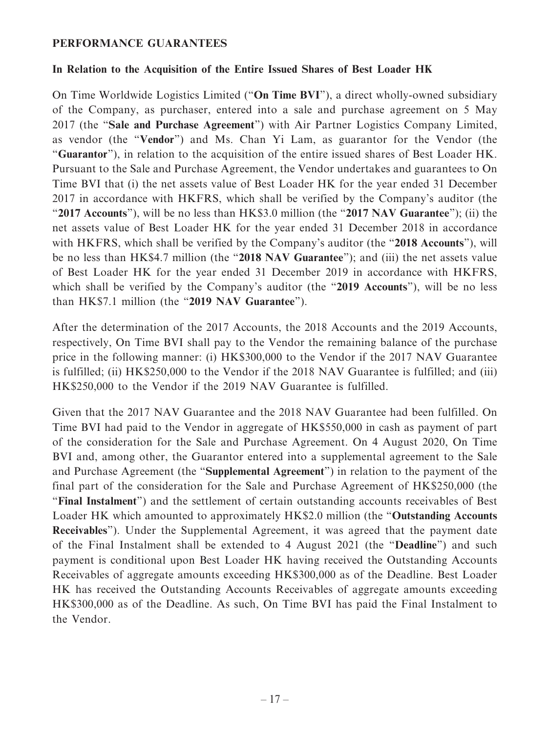#### **PERFORMANCE GUARANTEES**

#### **In Relation to the Acquisition of the Entire Issued Shares of Best Loader HK**

On Time Worldwide Logistics Limited ("**On Time BVI**"), a direct wholly-owned subsidiary of the Company, as purchaser, entered into a sale and purchase agreement on 5 May 2017 (the "**Sale and Purchase Agreement**") with Air Partner Logistics Company Limited, as vendor (the "**Vendor**") and Ms. Chan Yi Lam, as guarantor for the Vendor (the "**Guarantor**"), in relation to the acquisition of the entire issued shares of Best Loader HK. Pursuant to the Sale and Purchase Agreement, the Vendor undertakes and guarantees to On Time BVI that (i) the net assets value of Best Loader HK for the year ended 31 December 2017 in accordance with HKFRS, which shall be verified by the Company's auditor (the "**2017 Accounts**"), will be no less than HK\$3.0 million (the "**2017 NAV Guarantee**"); (ii) the net assets value of Best Loader HK for the year ended 31 December 2018 in accordance with HKFRS, which shall be verified by the Company's auditor (the "**2018 Accounts**"), will be no less than HK\$4.7 million (the "**2018 NAV Guarantee**"); and (iii) the net assets value of Best Loader HK for the year ended 31 December 2019 in accordance with HKFRS, which shall be verified by the Company's auditor (the "**2019 Accounts**"), will be no less than HK\$7.1 million (the "**2019 NAV Guarantee**").

After the determination of the 2017 Accounts, the 2018 Accounts and the 2019 Accounts, respectively, On Time BVI shall pay to the Vendor the remaining balance of the purchase price in the following manner: (i) HK\$300,000 to the Vendor if the 2017 NAV Guarantee is fulfilled; (ii) HK\$250,000 to the Vendor if the 2018 NAV Guarantee is fulfilled; and (iii) HK\$250,000 to the Vendor if the 2019 NAV Guarantee is fulfilled.

Given that the 2017 NAV Guarantee and the 2018 NAV Guarantee had been fulfilled. On Time BVI had paid to the Vendor in aggregate of HK\$550,000 in cash as payment of part of the consideration for the Sale and Purchase Agreement. On 4 August 2020, On Time BVI and, among other, the Guarantor entered into a supplemental agreement to the Sale and Purchase Agreement (the "**Supplemental Agreement**") in relation to the payment of the final part of the consideration for the Sale and Purchase Agreement of HK\$250,000 (the "**Final Instalment**") and the settlement of certain outstanding accounts receivables of Best Loader HK which amounted to approximately HK\$2.0 million (the "**Outstanding Accounts Receivables**"). Under the Supplemental Agreement, it was agreed that the payment date of the Final Instalment shall be extended to 4 August 2021 (the "**Deadline**") and such payment is conditional upon Best Loader HK having received the Outstanding Accounts Receivables of aggregate amounts exceeding HK\$300,000 as of the Deadline. Best Loader HK has received the Outstanding Accounts Receivables of aggregate amounts exceeding HK\$300,000 as of the Deadline. As such, On Time BVI has paid the Final Instalment to the Vendor.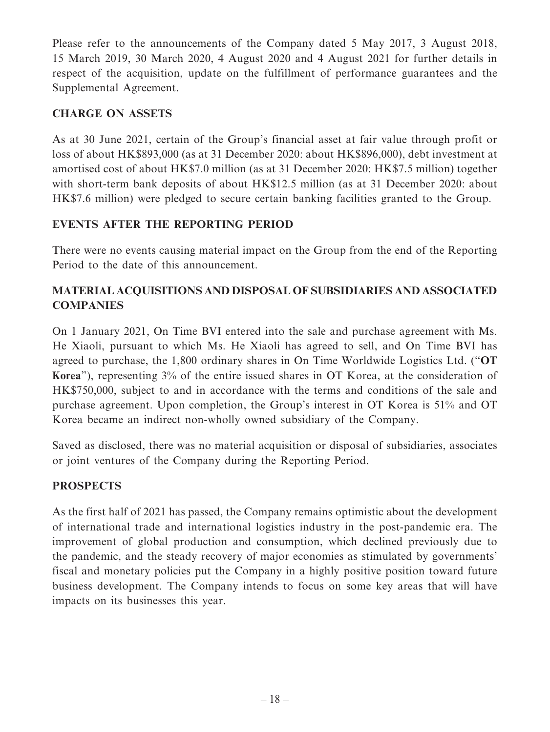Please refer to the announcements of the Company dated 5 May 2017, 3 August 2018, 15 March 2019, 30 March 2020, 4 August 2020 and 4 August 2021 for further details in respect of the acquisition, update on the fulfillment of performance guarantees and the Supplemental Agreement.

## **CHARGE ON ASSETS**

As at 30 June 2021, certain of the Group's financial asset at fair value through profit or loss of about HK\$893,000 (as at 31 December 2020: about HK\$896,000), debt investment at amortised cost of about HK\$7.0 million (as at 31 December 2020: HK\$7.5 million) together with short-term bank deposits of about HK\$12.5 million (as at 31 December 2020: about HK\$7.6 million) were pledged to secure certain banking facilities granted to the Group.

## **EVENTS AFTER THE REPORTING PERIOD**

There were no events causing material impact on the Group from the end of the Reporting Period to the date of this announcement.

## **MATERIAL ACQUISITIONS AND DISPOSAL OF SUBSIDIARIES AND ASSOCIATED COMPANIES**

On 1 January 2021, On Time BVI entered into the sale and purchase agreement with Ms. He Xiaoli, pursuant to which Ms. He Xiaoli has agreed to sell, and On Time BVI has agreed to purchase, the 1,800 ordinary shares in On Time Worldwide Logistics Ltd. ("**OT Korea**"), representing 3% of the entire issued shares in OT Korea, at the consideration of HK\$750,000, subject to and in accordance with the terms and conditions of the sale and purchase agreement. Upon completion, the Group's interest in OT Korea is 51% and OT Korea became an indirect non-wholly owned subsidiary of the Company.

Saved as disclosed, there was no material acquisition or disposal of subsidiaries, associates or joint ventures of the Company during the Reporting Period.

## **PROSPECTS**

As the first half of 2021 has passed, the Company remains optimistic about the development of international trade and international logistics industry in the post-pandemic era. The improvement of global production and consumption, which declined previously due to the pandemic, and the steady recovery of major economies as stimulated by governments' fiscal and monetary policies put the Company in a highly positive position toward future business development. The Company intends to focus on some key areas that will have impacts on its businesses this year.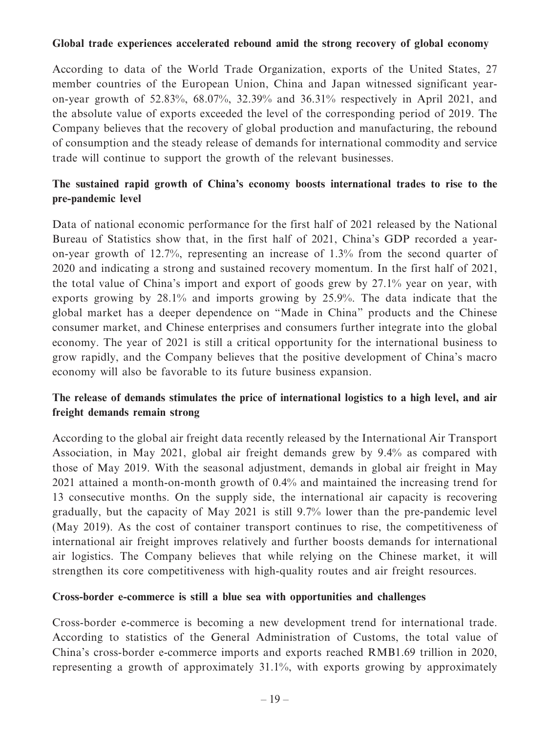#### **Global trade experiences accelerated rebound amid the strong recovery of global economy**

According to data of the World Trade Organization, exports of the United States, 27 member countries of the European Union, China and Japan witnessed significant yearon-year growth of 52.83%, 68.07%, 32.39% and 36.31% respectively in April 2021, and the absolute value of exports exceeded the level of the corresponding period of 2019. The Company believes that the recovery of global production and manufacturing, the rebound of consumption and the steady release of demands for international commodity and service trade will continue to support the growth of the relevant businesses.

## **The sustained rapid growth of China's economy boosts international trades to rise to the pre-pandemic level**

Data of national economic performance for the first half of 2021 released by the National Bureau of Statistics show that, in the first half of 2021, China's GDP recorded a yearon-year growth of 12.7%, representing an increase of 1.3% from the second quarter of 2020 and indicating a strong and sustained recovery momentum. In the first half of 2021, the total value of China's import and export of goods grew by 27.1% year on year, with exports growing by 28.1% and imports growing by 25.9%. The data indicate that the global market has a deeper dependence on "Made in China" products and the Chinese consumer market, and Chinese enterprises and consumers further integrate into the global economy. The year of 2021 is still a critical opportunity for the international business to grow rapidly, and the Company believes that the positive development of China's macro economy will also be favorable to its future business expansion.

## **The release of demands stimulates the price of international logistics to a high level, and air freight demands remain strong**

According to the global air freight data recently released by the International Air Transport Association, in May 2021, global air freight demands grew by 9.4% as compared with those of May 2019. With the seasonal adjustment, demands in global air freight in May 2021 attained a month-on-month growth of 0.4% and maintained the increasing trend for 13 consecutive months. On the supply side, the international air capacity is recovering gradually, but the capacity of May 2021 is still 9.7% lower than the pre-pandemic level (May 2019). As the cost of container transport continues to rise, the competitiveness of international air freight improves relatively and further boosts demands for international air logistics. The Company believes that while relying on the Chinese market, it will strengthen its core competitiveness with high-quality routes and air freight resources.

#### **Cross-border e-commerce is still a blue sea with opportunities and challenges**

Cross-border e-commerce is becoming a new development trend for international trade. According to statistics of the General Administration of Customs, the total value of China's cross-border e-commerce imports and exports reached RMB1.69 trillion in 2020, representing a growth of approximately 31.1%, with exports growing by approximately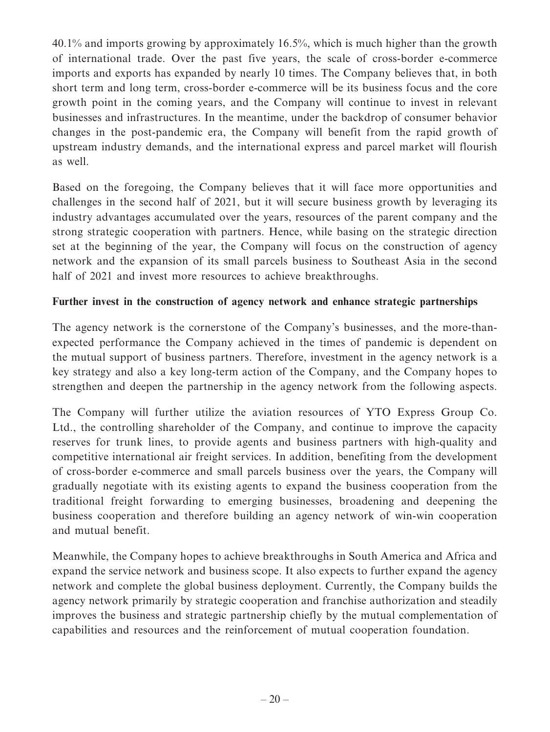40.1% and imports growing by approximately 16.5%, which is much higher than the growth of international trade. Over the past five years, the scale of cross-border e-commerce imports and exports has expanded by nearly 10 times. The Company believes that, in both short term and long term, cross-border e-commerce will be its business focus and the core growth point in the coming years, and the Company will continue to invest in relevant businesses and infrastructures. In the meantime, under the backdrop of consumer behavior changes in the post-pandemic era, the Company will benefit from the rapid growth of upstream industry demands, and the international express and parcel market will flourish as well.

Based on the foregoing, the Company believes that it will face more opportunities and challenges in the second half of 2021, but it will secure business growth by leveraging its industry advantages accumulated over the years, resources of the parent company and the strong strategic cooperation with partners. Hence, while basing on the strategic direction set at the beginning of the year, the Company will focus on the construction of agency network and the expansion of its small parcels business to Southeast Asia in the second half of 2021 and invest more resources to achieve breakthroughs.

### **Further invest in the construction of agency network and enhance strategic partnerships**

The agency network is the cornerstone of the Company's businesses, and the more-thanexpected performance the Company achieved in the times of pandemic is dependent on the mutual support of business partners. Therefore, investment in the agency network is a key strategy and also a key long-term action of the Company, and the Company hopes to strengthen and deepen the partnership in the agency network from the following aspects.

The Company will further utilize the aviation resources of YTO Express Group Co. Ltd., the controlling shareholder of the Company, and continue to improve the capacity reserves for trunk lines, to provide agents and business partners with high-quality and competitive international air freight services. In addition, benefiting from the development of cross-border e-commerce and small parcels business over the years, the Company will gradually negotiate with its existing agents to expand the business cooperation from the traditional freight forwarding to emerging businesses, broadening and deepening the business cooperation and therefore building an agency network of win-win cooperation and mutual benefit.

Meanwhile, the Company hopes to achieve breakthroughs in South America and Africa and expand the service network and business scope. It also expects to further expand the agency network and complete the global business deployment. Currently, the Company builds the agency network primarily by strategic cooperation and franchise authorization and steadily improves the business and strategic partnership chiefly by the mutual complementation of capabilities and resources and the reinforcement of mutual cooperation foundation.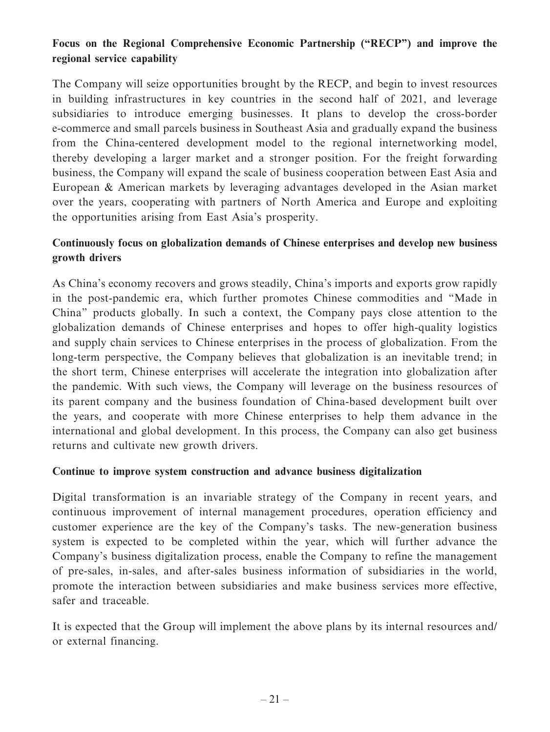## **Focus on the Regional Comprehensive Economic Partnership ("RECP") and improve the regional service capability**

The Company will seize opportunities brought by the RECP, and begin to invest resources in building infrastructures in key countries in the second half of 2021, and leverage subsidiaries to introduce emerging businesses. It plans to develop the cross-border e-commerce and small parcels business in Southeast Asia and gradually expand the business from the China-centered development model to the regional internetworking model, thereby developing a larger market and a stronger position. For the freight forwarding business, the Company will expand the scale of business cooperation between East Asia and European & American markets by leveraging advantages developed in the Asian market over the years, cooperating with partners of North America and Europe and exploiting the opportunities arising from East Asia's prosperity.

## **Continuously focus on globalization demands of Chinese enterprises and develop new business growth drivers**

As China's economy recovers and grows steadily, China's imports and exports grow rapidly in the post-pandemic era, which further promotes Chinese commodities and "Made in China" products globally. In such a context, the Company pays close attention to the globalization demands of Chinese enterprises and hopes to offer high-quality logistics and supply chain services to Chinese enterprises in the process of globalization. From the long-term perspective, the Company believes that globalization is an inevitable trend; in the short term, Chinese enterprises will accelerate the integration into globalization after the pandemic. With such views, the Company will leverage on the business resources of its parent company and the business foundation of China-based development built over the years, and cooperate with more Chinese enterprises to help them advance in the international and global development. In this process, the Company can also get business returns and cultivate new growth drivers.

#### **Continue to improve system construction and advance business digitalization**

Digital transformation is an invariable strategy of the Company in recent years, and continuous improvement of internal management procedures, operation efficiency and customer experience are the key of the Company's tasks. The new-generation business system is expected to be completed within the year, which will further advance the Company's business digitalization process, enable the Company to refine the management of pre-sales, in-sales, and after-sales business information of subsidiaries in the world, promote the interaction between subsidiaries and make business services more effective, safer and traceable.

It is expected that the Group will implement the above plans by its internal resources and/ or external financing.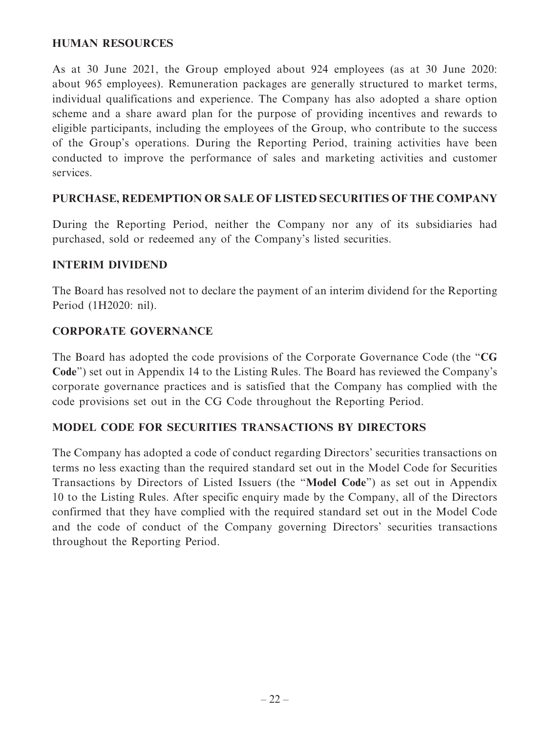### **HUMAN RESOURCES**

As at 30 June 2021, the Group employed about 924 employees (as at 30 June 2020: about 965 employees). Remuneration packages are generally structured to market terms, individual qualifications and experience. The Company has also adopted a share option scheme and a share award plan for the purpose of providing incentives and rewards to eligible participants, including the employees of the Group, who contribute to the success of the Group's operations. During the Reporting Period, training activities have been conducted to improve the performance of sales and marketing activities and customer services.

### **PURCHASE, REDEMPTION OR SALE OF LISTED SECURITIES OF THE COMPANY**

During the Reporting Period, neither the Company nor any of its subsidiaries had purchased, sold or redeemed any of the Company's listed securities.

### **INTERIM DIVIDEND**

The Board has resolved not to declare the payment of an interim dividend for the Reporting Period (1H2020: nil).

### **CORPORATE GOVERNANCE**

The Board has adopted the code provisions of the Corporate Governance Code (the "**CG Code**") set out in Appendix 14 to the Listing Rules. The Board has reviewed the Company's corporate governance practices and is satisfied that the Company has complied with the code provisions set out in the CG Code throughout the Reporting Period.

#### **MODEL CODE FOR SECURITIES TRANSACTIONS BY DIRECTORS**

The Company has adopted a code of conduct regarding Directors' securities transactions on terms no less exacting than the required standard set out in the Model Code for Securities Transactions by Directors of Listed Issuers (the "**Model Code**") as set out in Appendix 10 to the Listing Rules. After specific enquiry made by the Company, all of the Directors confirmed that they have complied with the required standard set out in the Model Code and the code of conduct of the Company governing Directors' securities transactions throughout the Reporting Period.